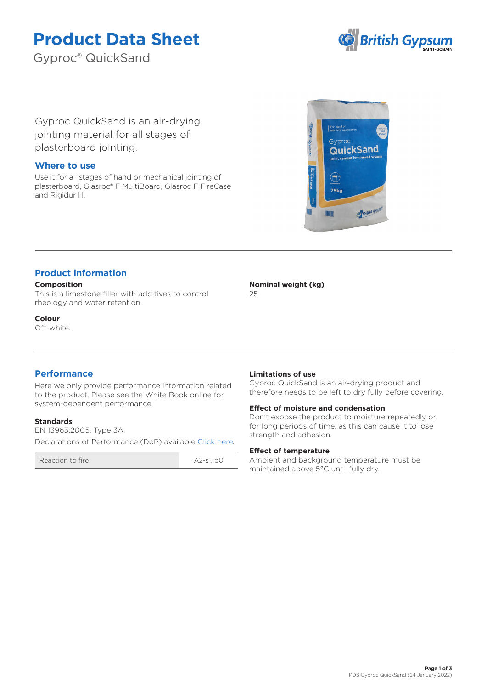# **Product Data Sheet**

Gyproc® QuickSand



Gyproc QuickSand is an air-drying jointing material for all stages of plasterboard jointing.

### **Where to use**

Use it for all stages of hand or mechanical jointing of plasterboard, Glasroc® F MultiBoard, Glasroc F FireCase and Rigidur H.



# **Product information**

#### **Composition**

This is a limestone filler with additives to control rheology and water retention.

**Colour** Off-white.

## **Performance**

Here we only provide performance information related to the product. Please see the White Book online for system-dependent performance.

#### **Standards**

EN 13963:2005, Type 3A. Declarations of Performance (DoP) availabl[e Click here](https://www.british-gypsum.com/DoP)*.*

Reaction to fire A2-s1, do

**Nominal weight (kg)**

25

#### **Limitations of use**

Gyproc QuickSand is an air-drying product and therefore needs to be left to dry fully before covering.

#### **Effect of moisture and condensation**

Don't expose the product to moisture repeatedly or for long periods of time, as this can cause it to lose strength and adhesion.

#### **Effect of temperature**

Ambient and background temperature must be maintained above 5°C until fully dry.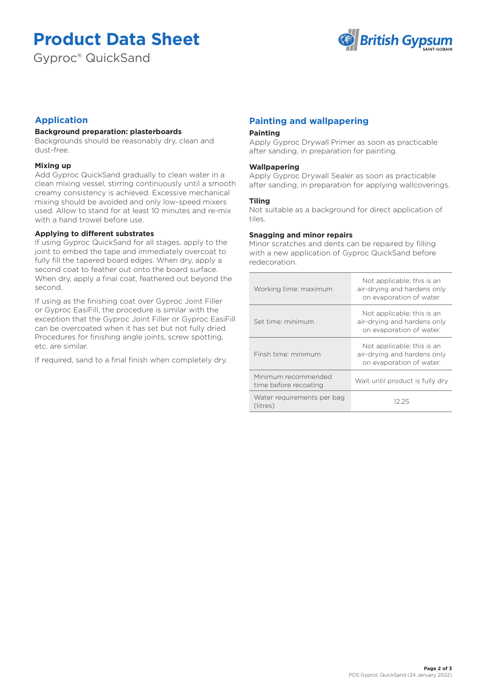# **Product Data Sheet**

Gyproc® QuickSand



# **Application**

#### **Background preparation: plasterboards**

Backgrounds should be reasonably dry, clean and dust-free.

#### **Mixing up**

Add Gyproc QuickSand gradually to clean water in a clean mixing vessel, stirring continuously until a smooth creamy consistency is achieved. Excessive mechanical mixing should be avoided and only low-speed mixers used. Allow to stand for at least 10 minutes and re-mix with a hand trowel before use.

#### **Applying to different substrates**

If using Gyproc QuickSand for all stages, apply to the joint to embed the tape and immediately overcoat to fully fill the tapered board edges. When dry, apply a second coat to feather out onto the board surface. When dry, apply a final coat, feathered out beyond the second.

If using as the finishing coat over Gyproc Joint Filler or Gyproc EasiFill, the procedure is similar with the exception that the Gyproc Joint Filler or Gyproc EasiFill can be overcoated when it has set but not fully dried. Procedures for finishing angle joints, screw spotting, etc. are similar.

If required, sand to a final finish when completely dry.

# **Painting and wallpapering**

#### **Painting**

Apply Gyproc Drywall Primer as soon as practicable after sanding, in preparation for painting.

#### **Wallpapering**

Apply Gyproc Drywall Sealer as soon as practicable after sanding, in preparation for applying wallcoverings.

#### **Tiling**

Not suitable as a background for direct application of tiles.

#### **Snagging and minor repairs**

Minor scratches and dents can be repaired by filling with a new application of Gyproc QuickSand before redecoration.

| Working time: maximum                        | Not applicable; this is an<br>air-drying and hardens only<br>on evaporation of water. |
|----------------------------------------------|---------------------------------------------------------------------------------------|
| Set time: minimum                            | Not applicable; this is an<br>air-drying and hardens only<br>on evaporation of water. |
| Finsh time: minimum                          | Not applicable; this is an<br>air-drying and hardens only<br>on evaporation of water. |
| Minimum recommended<br>time before recoating | Wait until product is fully dry                                                       |
| Water requirements per bag<br>(litres)       | 12 25                                                                                 |